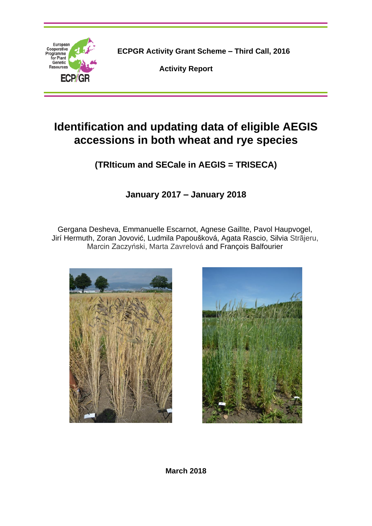

**ECPGR Activity Grant Scheme – Third Call, 2016**

**Activity Report**

# **Identification and updating data of eligible AEGIS accessions in both wheat and rye species**

**(TRIticum and SECale in AEGIS = TRISECA)**

**January 2017 – January 2018**

Gergana Desheva, Emmanuelle Escarnot, Agnese Gailīte, Pavol Haupvogel, Jirí Hermuth, Zoran Jovović, Ludmila Papoušková, Agata Rascio, Silvia Strãjeru, Marcin Zaczyński, Marta Zavrelová and François Balfourier





**March 2018**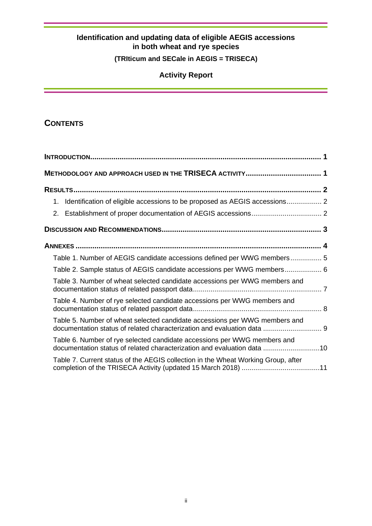# **(TRIticum and SECale in AEGIS = TRISECA)**

# **Activity Report**

# **CONTENTS**

| 1. Identification of eligible accessions to be proposed as AEGIS accessions 2                                                                         |  |
|-------------------------------------------------------------------------------------------------------------------------------------------------------|--|
|                                                                                                                                                       |  |
|                                                                                                                                                       |  |
|                                                                                                                                                       |  |
| Table 1. Number of AEGIS candidate accessions defined per WWG members 5                                                                               |  |
| Table 2. Sample status of AEGIS candidate accessions per WWG members 6                                                                                |  |
| Table 3. Number of wheat selected candidate accessions per WWG members and                                                                            |  |
| Table 4. Number of rye selected candidate accessions per WWG members and                                                                              |  |
| Table 5. Number of wheat selected candidate accessions per WWG members and<br>documentation status of related characterization and evaluation data  9 |  |
| Table 6. Number of rye selected candidate accessions per WWG members and<br>documentation status of related characterization and evaluation data 10   |  |
| Table 7. Current status of the AEGIS collection in the Wheat Working Group, after                                                                     |  |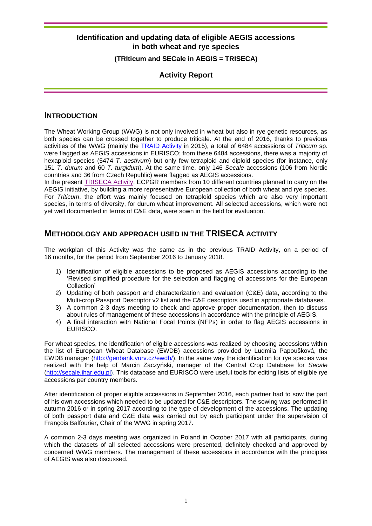#### **(TRIticum and SECale in AEGIS = TRISECA)**

## **Activity Report**

#### **INTRODUCTION**

The Wheat Working Group (WWG) is not only involved in wheat but also in rye genetic resources, as both species can be crossed together to produce triticale. At the end of 2016, thanks to previous activities of the WWG (mainly the [TRAID Activity](http://www.ecpgr.cgiar.org/working-groups/wheat/traid/) in 2015), a total of 6484 accessions of *Triticum* sp. were flagged as AEGIS accessions in EURISCO; from these 6484 accessions, there was a majority of hexaploid species (5474 *T. aestivum*) but only few tetraploid and diploid species (for instance, only 151 *T. durum* and 60 *T. turgidum*). At the same time, only 146 *Secale* accessions (106 from Nordic countries and 36 from Czech Republic) were flagged as AEGIS accessions.

In the present [TRISECA Activity,](http://www.ecpgr.cgiar.org/working-groups/wheat/triseca/) ECPGR members from 10 different countries planned to carry on the AEGIS initiative, by building a more representative European collection of both wheat and rye species. For *Triticum*, the effort was mainly focused on tetraploid species which are also very important species, in terms of diversity, for durum wheat improvement. All selected accessions, which were not yet well documented in terms of C&E data, were sown in the field for evaluation.

### **METHODOLOGY AND APPROACH USED IN THE TRISECA ACTIVITY**

The workplan of this Activity was the same as in the previous TRAID Activity, on a period of 16 months, for the period from September 2016 to January 2018.

- 1) Identification of eligible accessions to be proposed as AEGIS accessions according to the 'Revised simplified procedure for the selection and flagging of accessions for the European Collection'
- 2) Updating of both passport and characterization and evaluation (C&E) data, according to the Multi-crop Passport Descriptor v2 list and the C&E descriptors used in appropriate databases.
- 3) A common 2-3 days meeting to check and approve proper documentation, then to discuss about rules of management of these accessions in accordance with the principle of AEGIS.
- 4) A final interaction with National Focal Points (NFPs) in order to flag AEGIS accessions in EURISCO.

For wheat species, the identification of eligible accessions was realized by choosing accessions within the list of European Wheat Database (EWDB) accessions provided by Ludmila Papoušková, the EWDB manager [\(http://genbank.vurv.cz/ewdb/\)](http://genbank.vurv.cz/ewdb/). In the same way the identification for rye species was realized with the help of Marcin Zaczyński, manager of the Central Crop Database for *Secale* [\(http://secale.ihar.edu.pl\)](http://secale.ihar.edu.pl/). This database and EURISCO were useful tools for editing lists of eligible rye accessions per country members.

After identification of proper eligible accessions in September 2016, each partner had to sow the part of his own accessions which needed to be updated for C&E descriptors. The sowing was performed in autumn 2016 or in spring 2017 according to the type of development of the accessions. The updating of both passport data and C&E data was carried out by each participant under the supervision of François Balfourier, Chair of the WWG in spring 2017.

A common 2-3 days meeting was organized in Poland in October 2017 with all participants, during which the datasets of all selected accessions were presented, definitely checked and approved by concerned WWG members. The management of these accessions in accordance with the principles of AEGIS was also discussed.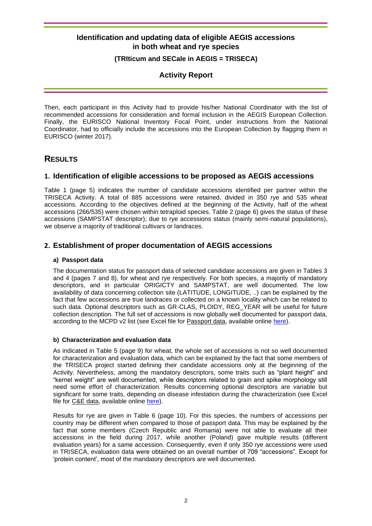#### **(TRIticum and SECale in AEGIS = TRISECA)**

### **Activity Report**

Then, each participant in this Activity had to provide his/her National Coordinator with the list of recommended accessions for consideration and formal inclusion in the AEGIS European Collection. Finally, the EURISCO National Inventory Focal Point, under instructions from the National Coordinator, had to officially include the accessions into the European Collection by flagging them in EURISCO (winter 2017).

# **RESULTS**

#### **1. Identification of eligible accessions to be proposed as AEGIS accessions**

Table 1 (page [5\)](#page-6-0) indicates the number of candidate accessions identified per partner within the TRISECA Activity. A total of 885 accessions were retained, divided in 350 rye and 535 wheat accessions. According to the objectives defined at the beginning of the Activity, half of the wheat accessions (266/535) were chosen within tetraploid species. Table 2 (page [6\)](#page-7-0) gives the status of these accessions (SAMPSTAT descriptor); due to rye accessions status (mainly semi-natural populations), we observe a majority of traditional cultivars or landraces.

### **2. Establishment of proper documentation of AEGIS accessions**

#### **a) Passport data**

The documentation status for passport data of selected candidate accessions are given in Tables 3 and 4 (pages [7](#page-8-0) and [8\)](#page-9-0), for wheat and rye respectively. For both species, a majority of mandatory descriptors, and in particular ORIGICTY and SAMPSTAT, are well documented. The low availability of data concerning collection site (LATITUDE, LONGITUDE, ..) can be explained by the fact that few accessions are true landraces or collected on a known locality which can be related to such data. Optional descriptors such as GR-CLAS, PLOIDY, REG\_YEAR will be useful for future collection description. The full set of accessions is now globally well documented for passport data, according to the MCPD v2 list (see Excel file for Passport data, available online [here\)](http://www.ecpgr.cgiar.org/working-groups/wheat/triseca/).

#### **b) Characterization and evaluation data**

As indicated in Table 5 (page [9\)](#page-10-0) for wheat, the whole set of accessions is not so well documented for characterization and evaluation data, which can be explained by the fact that some members of the TRISECA project started defining their candidate accessions only at the beginning of the Activity. Nevertheless, among the mandatory descriptors, some traits such as "plant height" and "kernel weight" are well documented, while descriptors related to grain and spike morphology still need some effort of characterization. Results concerning optional descriptors are variable but significant for some traits, depending on disease infestation during the characterization (see Excel file for C&E data, available online [here\)](http://www.ecpgr.cgiar.org/working-groups/wheat/triseca/).

Results for rye are given in Table 6 (page [10\)](#page-11-0). For this species, the numbers of accessions per country may be different when compared to those of passport data. This may be explained by the fact that some members (Czech Republic and Romania) were not able to evaluate all their accessions in the field during 2017, while another (Poland) gave multiple results (different evaluation years) for a same accession. Consequently, even if only 350 rye accessions were used in TRISECA, evaluation data were obtained on an overall number of 709 "accessions". Except for 'protein content', most of the mandatory descriptors are well documented.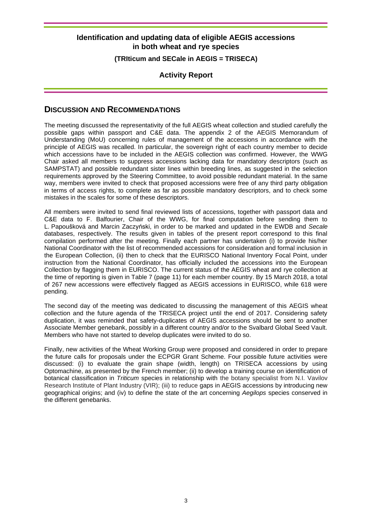#### **(TRIticum and SECale in AEGIS = TRISECA)**

### **Activity Report**

#### **DISCUSSION AND RECOMMENDATIONS**

The meeting discussed the representativity of the full AEGIS wheat collection and studied carefully the possible gaps within passport and C&E data. The appendix 2 of the AEGIS Memorandum of Understanding (MoU) concerning rules of management of the accessions in accordance with the principle of AEGIS was recalled. In particular, the sovereign right of each country member to decide which accessions have to be included in the AEGIS collection was confirmed. However, the WWG Chair asked all members to suppress accessions lacking data for mandatory descriptors (such as SAMPSTAT) and possible redundant sister lines within breeding lines, as suggested in the selection requirements approved by the Steering Committee, to avoid possible redundant material. In the same way, members were invited to check that proposed accessions were free of any third party obligation in terms of access rights, to complete as far as possible mandatory descriptors, and to check some mistakes in the scales for some of these descriptors.

All members were invited to send final reviewed lists of accessions, together with passport data and C&E data to F. Balfourier, Chair of the WWG, for final computation before sending them to L. Papoušková and Marcin Zaczyński, in order to be marked and updated in the EWDB and *Secale* databases, respectively. The results given in tables of the present report correspond to this final compilation performed after the meeting. Finally each partner has undertaken (i) to provide his/her National Coordinator with the list of recommended accessions for consideration and formal inclusion in the European Collection, (ii) then to check that the EURISCO National Inventory Focal Point, under instruction from the National Coordinator, has officially included the accessions into the European Collection by flagging them in EURISCO. The current status of the AEGIS wheat and rye collection at the time of reporting is given in Table 7 (page [11\)](#page-12-0) for each member country. By 15 March 2018, a total of 267 new accessions were effectively flagged as AEGIS accessions in EURISCO, while 618 were pending.

The second day of the meeting was dedicated to discussing the management of this AEGIS wheat collection and the future agenda of the TRISECA project until the end of 2017. Considering safety duplication, it was reminded that safety-duplicates of AEGIS accessions should be sent to another Associate Member genebank, possibly in a different country and/or to the Svalbard Global Seed Vault. Members who have not started to develop duplicates were invited to do so.

Finally, new activities of the Wheat Working Group were proposed and considered in order to prepare the future calls for proposals under the ECPGR Grant Scheme. Four possible future activities were discussed: (i) to evaluate the grain shape (width, length) on TRISECA accessions by using Optomachine, as presented by the French member; (ii) to develop a training course on identification of botanical classification in *Triticum* species in relationship with the botany specialist from N.I. Vavilov Research Institute of Plant Industry (VIR); (iii) to reduce gaps in AEGIS accessions by introducing new geographical origins; and (iv) to define the state of the art concerning *Aegilops* species conserved in the different genebanks.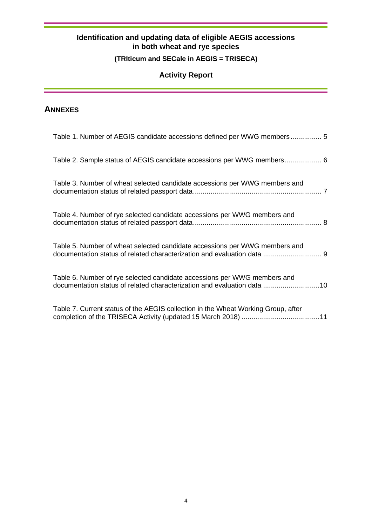# **(TRIticum and SECale in AEGIS = TRISECA)**

# **Activity Report**

# **ANNEXES**

| Table 1. Number of AEGIS candidate accessions defined per WWG members 5                                                                               |
|-------------------------------------------------------------------------------------------------------------------------------------------------------|
| Table 2. Sample status of AEGIS candidate accessions per WWG members 6                                                                                |
| Table 3. Number of wheat selected candidate accessions per WWG members and                                                                            |
| Table 4. Number of rye selected candidate accessions per WWG members and                                                                              |
| Table 5. Number of wheat selected candidate accessions per WWG members and<br>documentation status of related characterization and evaluation data  9 |
| Table 6. Number of rye selected candidate accessions per WWG members and<br>documentation status of related characterization and evaluation data 10   |
| Table 7. Current status of the AEGIS collection in the Wheat Working Group, after                                                                     |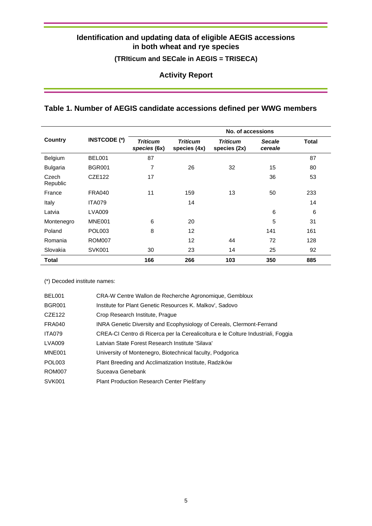**(TRIticum and SECale in AEGIS = TRISECA)**

**Activity Report**

# <span id="page-6-0"></span>**Table 1. Number of AEGIS candidate accessions defined per WWG members**

|                   |                     | No. of accessions               |                                 |                                 |                          |       |  |  |  |  |
|-------------------|---------------------|---------------------------------|---------------------------------|---------------------------------|--------------------------|-------|--|--|--|--|
| Country           | <b>INSTCODE (*)</b> | <b>Triticum</b><br>species (6x) | <b>Triticum</b><br>species (4x) | <b>Triticum</b><br>species (2x) | <b>Secale</b><br>cereale | Total |  |  |  |  |
| Belgium           | <b>BEL001</b>       | 87                              |                                 |                                 |                          | 87    |  |  |  |  |
| Bulgaria          | <b>BGR001</b>       | $\overline{7}$                  | 26                              | 32                              | 15                       | 80    |  |  |  |  |
| Czech<br>Republic | <b>CZE122</b>       | 17                              |                                 |                                 | 36                       | 53    |  |  |  |  |
| France            | <b>FRA040</b>       | 11                              | 159                             | 13                              | 50                       | 233   |  |  |  |  |
| Italy             | <b>ITA079</b>       |                                 | 14                              |                                 |                          | 14    |  |  |  |  |
| Latvia            | <b>LVA009</b>       |                                 |                                 |                                 | 6                        | 6     |  |  |  |  |
| Montenegro        | MNE001              | 6                               | 20                              |                                 | 5                        | 31    |  |  |  |  |
| Poland            | <b>POL003</b>       | 8                               | 12                              |                                 | 141                      | 161   |  |  |  |  |
| Romania           | <b>ROM007</b>       |                                 | 12                              | 44                              | 72                       | 128   |  |  |  |  |
| Slovakia          | <b>SVK001</b>       | 30                              | 23                              | 14                              | 25                       | 92    |  |  |  |  |
| Total             |                     | 166                             | 266                             | 103                             | 350                      | 885   |  |  |  |  |

(\*) Decoded institute names:

| <b>BEL001</b> | CRA-W Centre Wallon de Recherche Agronomique, Gembloux                           |
|---------------|----------------------------------------------------------------------------------|
| <b>BGR001</b> | Institute for Plant Genetic Resources K. Malkov', Sadovo                         |
| CZE122        | Crop Research Institute, Prague                                                  |
| FRA040        | INRA Genetic Diversity and Ecophysiology of Cereals, Clermont-Ferrand            |
| <b>ITA079</b> | CREA-CI Centro di Ricerca per la Cerealicoltura e le Colture Industriali, Foggia |
| <b>LVA009</b> | Latvian State Forest Research Institute 'Silava'                                 |
| MNE001        | University of Montenegro, Biotechnical faculty, Podgorica                        |
| <b>POL003</b> | Plant Breeding and Acclimatization Institute, Radzików                           |
| <b>ROM007</b> | Suceava Genebank                                                                 |
| <b>SVK001</b> | Plant Production Research Center Piešťany                                        |
|               |                                                                                  |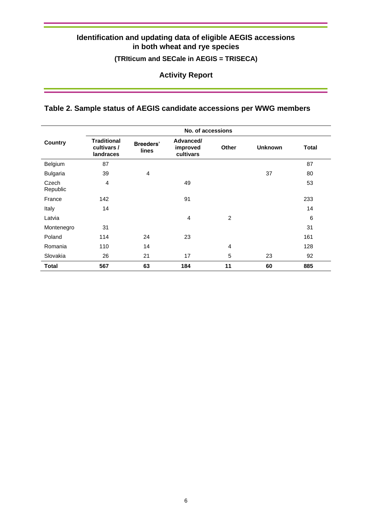**(TRIticum and SECale in AEGIS = TRISECA)**

**Activity Report**

# <span id="page-7-0"></span>**Table 2. Sample status of AEGIS candidate accessions per WWG members**

|                   | No. of accessions                              |                           |                                    |                |                |              |  |  |  |  |  |  |  |
|-------------------|------------------------------------------------|---------------------------|------------------------------------|----------------|----------------|--------------|--|--|--|--|--|--|--|
| Country           | <b>Traditional</b><br>cultivars /<br>landraces | <b>Breeders'</b><br>lines | Advanced/<br>improved<br>cultivars | <b>Other</b>   | <b>Unknown</b> | <b>Total</b> |  |  |  |  |  |  |  |
| Belgium           | 87                                             |                           |                                    |                |                | 87           |  |  |  |  |  |  |  |
| <b>Bulgaria</b>   | 39                                             | $\overline{4}$            |                                    |                | 37             | 80           |  |  |  |  |  |  |  |
| Czech<br>Republic | 4                                              |                           | 49                                 |                |                | 53           |  |  |  |  |  |  |  |
| France            | 142                                            |                           | 91                                 |                |                | 233          |  |  |  |  |  |  |  |
| Italy             | 14                                             |                           |                                    |                |                | 14           |  |  |  |  |  |  |  |
| Latvia            |                                                |                           | 4                                  | $\overline{c}$ |                | 6            |  |  |  |  |  |  |  |
| Montenegro        | 31                                             |                           |                                    |                |                | 31           |  |  |  |  |  |  |  |
| Poland            | 114                                            | 24                        | 23                                 |                |                | 161          |  |  |  |  |  |  |  |
| Romania           | 110                                            | 14                        |                                    | $\overline{4}$ |                | 128          |  |  |  |  |  |  |  |
| Slovakia          | 26                                             | 21                        | 17                                 | 5              | 23             | 92           |  |  |  |  |  |  |  |
| <b>Total</b>      | 567                                            | 63                        | 184                                | 11             | 60             | 885          |  |  |  |  |  |  |  |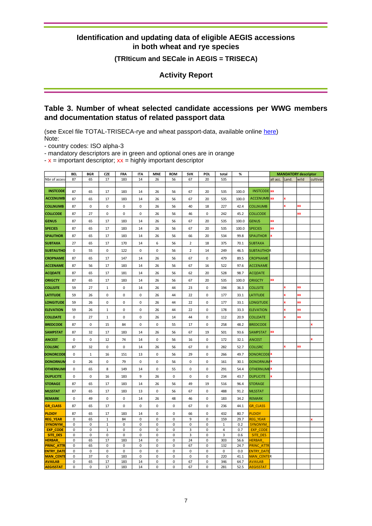**(TRIticum and SECale in AEGIS = TRISECA)**

**Activity Report**

### <span id="page-8-0"></span>**Table 3. Number of wheat selected candidate accessions per WWG members and documentation status of related passport data**

(see Excel file TOTAL-TRISECA-rye and wheat passport-data, available online [here\)](http://www.ecpgr.cgiar.org/working-groups/wheat/triseca/) Note:

- country codes: ISO alpha-3

- mandatory descriptors are in green and optional ones are in orange

 $-x =$  important descriptor;  $xx =$  highly important descriptor

|                                                                                                                                            | <b>BEL</b>                             | <b>BGR</b>                                                | <b>CZE</b>                                          | <b>FRA</b>                                        | <b>ITA</b>                                       | <b>MNE</b>                                   | <b>ROM</b>                                                           | <b>SVK</b>                                 | POL                                                           | total                                              | %                                                           |                                                                                                                                            |                |              | <b>MANDATORY descriptor</b> |          |
|--------------------------------------------------------------------------------------------------------------------------------------------|----------------------------------------|-----------------------------------------------------------|-----------------------------------------------------|---------------------------------------------------|--------------------------------------------------|----------------------------------------------|----------------------------------------------------------------------|--------------------------------------------|---------------------------------------------------------------|----------------------------------------------------|-------------------------------------------------------------|--------------------------------------------------------------------------------------------------------------------------------------------|----------------|--------------|-----------------------------|----------|
| Nbr of acces                                                                                                                               | 87                                     | 65                                                        | 17                                                  | 183                                               | 14                                               | 26                                           | 56                                                                   | 67                                         | 20                                                            | 535                                                |                                                             |                                                                                                                                            | all acc. Land. |              | wild                        | cultivar |
| <b>INSTCODE</b>                                                                                                                            |                                        |                                                           |                                                     |                                                   |                                                  |                                              |                                                                      |                                            |                                                               |                                                    |                                                             | <b>INSTCODE</b> XX                                                                                                                         |                |              |                             |          |
|                                                                                                                                            | 87                                     | 65                                                        | 17                                                  | 183                                               | 14                                               | 26                                           | 56                                                                   | 67                                         | 20                                                            | 535                                                | 100.0                                                       |                                                                                                                                            |                |              |                             |          |
| <b>ACCENUMB</b>                                                                                                                            | 87                                     | 65                                                        | 17                                                  | 183                                               | 14                                               | 26                                           | 56                                                                   | 67                                         | 20                                                            | 535                                                | 100.0                                                       | <b>ACCENUMB</b> XX                                                                                                                         |                |              |                             |          |
| <b>COLLNUMB</b>                                                                                                                            | 87                                     | $\pmb{0}$                                                 | 0                                                   | 0                                                 | $\pmb{0}$                                        | 26                                           | 56                                                                   | 40                                         | 18                                                            | 227                                                | 42.4                                                        | <b>COLLNUMB</b>                                                                                                                            |                |              | œ                           |          |
| <b>COLLCODE</b>                                                                                                                            | 87                                     | 27                                                        | 0                                                   | 0                                                 | $\bf 0$                                          | 26                                           | 56                                                                   | 46                                         | $\pmb{0}$                                                     | 242                                                | 45.2                                                        | <b>COLLCODE</b>                                                                                                                            |                |              | XХ                          |          |
| <b>GENUS</b>                                                                                                                               | 87                                     | 65                                                        | 17                                                  | 183                                               | 14                                               | 26                                           | 56                                                                   | 67                                         | 20                                                            | 535                                                | 100.0                                                       | <b>GENUS</b>                                                                                                                               | XX             |              |                             |          |
| <b>SPECIES</b>                                                                                                                             | 87                                     | 65                                                        | 17                                                  | 183                                               | 14                                               | 26                                           | 56                                                                   | 67                                         | 20                                                            | 535                                                | 100.0                                                       | <b>SPECIES</b>                                                                                                                             | XX             |              |                             |          |
| <b>SPAUTHOR</b>                                                                                                                            | 87                                     | 65                                                        | 17                                                  | 183                                               | 14                                               | 26                                           | 56                                                                   | 66                                         | 20                                                            | 534                                                | 99.8                                                        | <b>SPAUTHOR</b>                                                                                                                            | x              |              |                             |          |
| <b>SUBTAXA</b>                                                                                                                             | 27                                     | 65                                                        | 17                                                  | 170                                               | 14                                               | 6                                            | 56                                                                   | $\overline{2}$                             | 18                                                            | 375                                                | 70.1                                                        | <b>SUBTAXA</b>                                                                                                                             |                |              |                             |          |
| <b>SUBTAUTHO</b>                                                                                                                           | 0                                      | 55                                                        | 0                                                   | 122                                               | 0                                                | 0                                            | 56                                                                   | 2                                          | 14                                                            | 249                                                | 46.5                                                        | <b>SUBTAUTHOR</b>                                                                                                                          |                |              |                             |          |
| <b>CROPNAME</b>                                                                                                                            | 87                                     | 65                                                        | 17                                                  | 147                                               | 14                                               | 26                                           | 56                                                                   | 67                                         | 0                                                             | 479                                                | 89.5                                                        | <b>CROPNAME</b>                                                                                                                            |                |              |                             |          |
| <b>ACCENAME</b>                                                                                                                            | 87                                     | 56                                                        | 17                                                  | 183                                               | 14                                               | 26                                           | 56                                                                   | 67                                         | 16                                                            | 522                                                | 97.6                                                        | <b>ACCENAME</b>                                                                                                                            |                |              |                             |          |
| <b>ACQDATE</b>                                                                                                                             | 87                                     | 65                                                        | 17                                                  | 181                                               | 14                                               | 26                                           | 56                                                                   | 62                                         | 20                                                            | 528                                                | 98.7                                                        | <b>ACQDATE</b>                                                                                                                             |                |              |                             |          |
| <b>ORIGCTY</b>                                                                                                                             | 87                                     | 65                                                        | 17                                                  | 183                                               | 14                                               | 26                                           | 56                                                                   | 67                                         | 20                                                            | 535                                                | 100.0                                                       | <b>ORIGCTY</b>                                                                                                                             | XX             |              |                             |          |
| <b>COLLSITE</b>                                                                                                                            | 59                                     | 27                                                        | $\mathbf{1}$                                        | 0                                                 | 14                                               | 26                                           | 44                                                                   | 23                                         | 0                                                             | 194                                                | 36.3                                                        | <b>COLLSITE</b>                                                                                                                            |                | $\mathbf{x}$ | XХ                          |          |
|                                                                                                                                            |                                        |                                                           |                                                     |                                                   |                                                  |                                              |                                                                      |                                            |                                                               |                                                    |                                                             |                                                                                                                                            |                | $\mathbf{x}$ |                             |          |
| <b>LATITUDE</b>                                                                                                                            | 59                                     | 26                                                        | 0                                                   | 0                                                 | 0                                                | 26                                           | 44                                                                   | 22                                         | 0                                                             | 177                                                | 33.1                                                        | <b>LATITUDE</b>                                                                                                                            |                |              | XХ                          |          |
| <b>LONGITUDE</b>                                                                                                                           | 59                                     | 26                                                        | 0                                                   | 0                                                 | 0                                                | 26                                           | 44                                                                   | 22                                         | 0                                                             | 177                                                | 33.1                                                        | <b>LONGITUDE</b>                                                                                                                           |                | x            | XХ                          |          |
| <b>ELEVATION</b>                                                                                                                           | 59                                     | 26                                                        | $\mathbf{1}$                                        | 0                                                 | 0                                                | 26                                           | 44                                                                   | 22                                         | 0                                                             | 178                                                | 33.3                                                        | <b>ELEVATION</b>                                                                                                                           |                |              | œ                           |          |
| <b>COLLDATE</b>                                                                                                                            | 0                                      | 27                                                        | $\mathbf{1}$                                        | 0                                                 | 0                                                | 26                                           | 14                                                                   | 44                                         | 0                                                             | 112                                                | 20.9                                                        | <b>COLLDATE</b>                                                                                                                            |                |              | XХ                          |          |
| <b>BREDCODE</b>                                                                                                                            | 87                                     | 0                                                         | 15                                                  | 84                                                | 0                                                | 0                                            | 55                                                                   | 17                                         | 0                                                             | 258                                                | 48.2                                                        | <b>BREDCODE</b>                                                                                                                            |                |              |                             | ×        |
| <b>SAMPSTAT</b>                                                                                                                            | 87                                     | 32                                                        | 17                                                  | 183                                               | 14                                               | 26                                           | 56                                                                   | 67                                         | 19                                                            | 501                                                | 93.6                                                        | SAMPSTAT                                                                                                                                   | XX             |              |                             |          |
| <b>ANCEST</b>                                                                                                                              | 0                                      | 0                                                         | 12                                                  | 74                                                | 14                                               | 0                                            | 56                                                                   | 16                                         | 0                                                             | 172                                                | 32.1                                                        | <b>ANCEST</b>                                                                                                                              |                |              |                             |          |
| <b>COLLSRC</b>                                                                                                                             | 87                                     | 32                                                        | 0                                                   | $\mathbf 0$                                       | 14                                               | 26                                           | 56                                                                   | 67                                         | 0                                                             | 282                                                | 52.7                                                        | <b>COLLSRC</b>                                                                                                                             |                | $\mathbf{x}$ | XХ                          |          |
| <b>DONORCODE</b>                                                                                                                           | 0                                      | $\mathbf 1$                                               | 16                                                  | 151                                               | 13                                               | 0                                            | 56                                                                   | 29                                         | 0                                                             | 266                                                | 49.7                                                        | DONORCODE <sup>X</sup>                                                                                                                     |                |              |                             |          |
| <b>DONORNUM</b>                                                                                                                            | 0                                      | 26                                                        | 0                                                   | 79                                                | 0                                                | 0                                            | 56                                                                   | 0                                          | $\pmb{0}$                                                     | 161                                                | 30.1                                                        | <b>DONORNUM</b>                                                                                                                            |                |              |                             |          |
| <b>OTHERNUM</b>                                                                                                                            | 0                                      | 65                                                        | 8                                                   | 149                                               | 14                                               | 0                                            | 55                                                                   | 0                                          | 0                                                             | 291                                                | 54.4                                                        | <b>OTHERNUMEX</b>                                                                                                                          |                |              |                             |          |
| <b>DUPLICITE</b>                                                                                                                           | 0                                      | 0                                                         | 16                                                  | 183                                               | $\boldsymbol{9}$                                 | 26                                           | 0                                                                    | 0                                          | 0                                                             | 234                                                | 43.7                                                        | <b>DUPLICITE</b>                                                                                                                           |                |              |                             |          |
| <b>STORAGE</b>                                                                                                                             | 87                                     | 65                                                        | 17                                                  | 183                                               | 14                                               | 26                                           | 56                                                                   | 49                                         | 19                                                            | 516                                                | 96.4                                                        | <b>STORAGE</b>                                                                                                                             |                |              |                             |          |
| <b>MLSSTAT</b>                                                                                                                             | 87                                     | 65                                                        | 17                                                  | 183                                               | 13                                               | 0                                            | 56                                                                   | 67                                         | $\pmb{0}$                                                     | 488                                                | 91.2                                                        | <b>MLSSTAT</b>                                                                                                                             |                |              |                             |          |
|                                                                                                                                            |                                        |                                                           |                                                     |                                                   |                                                  |                                              |                                                                      |                                            |                                                               |                                                    |                                                             |                                                                                                                                            |                |              |                             |          |
|                                                                                                                                            |                                        |                                                           |                                                     |                                                   |                                                  |                                              |                                                                      |                                            |                                                               |                                                    |                                                             |                                                                                                                                            |                |              |                             |          |
|                                                                                                                                            |                                        |                                                           |                                                     |                                                   |                                                  |                                              |                                                                      |                                            |                                                               |                                                    |                                                             |                                                                                                                                            |                |              |                             |          |
|                                                                                                                                            |                                        |                                                           |                                                     |                                                   |                                                  |                                              |                                                                      |                                            |                                                               |                                                    |                                                             |                                                                                                                                            |                |              |                             |          |
| <b>SYNONYM</b>                                                                                                                             | 0                                      | 0                                                         | $\mathbf{1}$                                        | 0                                                 | 0                                                | 0                                            | 0                                                                    | 0                                          | 0                                                             | $\mathbf{1}$                                       | 0.2                                                         | <b>SYNONYM</b>                                                                                                                             |                |              |                             |          |
| <b>EXP_CODE</b>                                                                                                                            | 0                                      | 0                                                         | $\mathbf 1$                                         | 0                                                 | 0                                                | 0                                            | $\pmb{0}$                                                            | 3                                          | 0                                                             | 4                                                  | 0.7                                                         | <b>EXP CODE</b>                                                                                                                            |                |              |                             |          |
|                                                                                                                                            |                                        |                                                           |                                                     |                                                   |                                                  |                                              |                                                                      |                                            |                                                               |                                                    |                                                             |                                                                                                                                            |                |              |                             |          |
|                                                                                                                                            |                                        |                                                           |                                                     |                                                   |                                                  |                                              |                                                                      |                                            |                                                               |                                                    |                                                             |                                                                                                                                            |                |              |                             |          |
| <b>ENTRY DATE</b>                                                                                                                          | 0                                      | $\pmb{0}$                                                 | 0                                                   | 0                                                 | 0                                                | 0                                            | 0                                                                    | 0                                          | 0                                                             | 0                                                  | 0.0                                                         | <b>ENTRY DATE</b>                                                                                                                          |                |              |                             |          |
| <b>MAN CENTE</b>                                                                                                                           | 0                                      | 37                                                        | 0                                                   | 183                                               | 0                                                | 0                                            | 0                                                                    | 0                                          | 0                                                             | 220                                                | 41.1                                                        | <b>MAN CENTER</b>                                                                                                                          |                |              |                             |          |
| <b>AVAILAB</b>                                                                                                                             | 0                                      | 65                                                        | 17                                                  | 183                                               | 14                                               | 0                                            | 0                                                                    | 67                                         | 0                                                             | 346                                                | 64.7                                                        | <b>AVAILAB</b>                                                                                                                             |                |              |                             |          |
| <b>REMARK</b><br><b>GR_CLASS</b><br><b>PLOIDY</b><br><b>REG YEAR</b><br><b>SITE DES</b><br><b>HERBAR</b><br>PRINC_ATTR<br><b>AEGISSTAT</b> | 0<br>87<br>87<br>0<br>0<br>0<br>0<br>0 | 49<br>65<br>65<br>65<br>$\pmb{0}$<br>65<br>65<br>$\Omega$ | 0<br>17<br>17<br>$\mathbf{1}$<br>0<br>17<br>0<br>17 | 0<br>0<br>183<br>84<br>0<br>183<br>$\bf 0$<br>183 | 14<br>0<br>14<br>0<br>0<br>14<br>$\pmb{0}$<br>14 | 26<br>0<br>0<br>0<br>0<br>0<br>0<br>$\Omega$ | 48<br>0<br>$\pmb{0}$<br>$\pmb{0}$<br>$\pmb{0}$<br>0<br>0<br>$\Omega$ | 46<br>67<br>66<br>9<br>3<br>24<br>67<br>67 | 0<br>0<br>0<br>$\mathbf 0$<br>0<br>0<br>$\pmb{0}$<br>$\Omega$ | 183<br>236<br>432<br>159<br>3<br>303<br>132<br>281 | 34.2<br>44.1<br>80.7<br>29.7<br>0.6<br>56.6<br>24.7<br>52.5 | <b>REMARK</b><br><b>GR CLASS</b><br><b>PLOIDY</b><br><b>REG YEAR</b><br>SITE DES<br><b>HERBAR</b><br><b>PRINC ATTR</b><br><b>AFGISSTAT</b> |                |              |                             |          |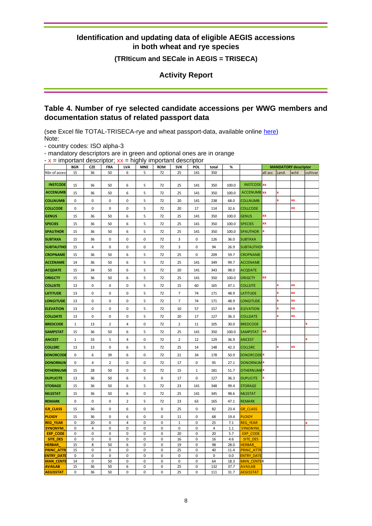#### **(TRIticum and SECale in AEGIS = TRISECA)**

**Activity Report**

### <span id="page-9-0"></span>**Table 4. Number of rye selected candidate accessions per WWG members and documentation status of related passport data**

(see Excel file TOTAL-TRISECA-rye and wheat passport-data, available online [here\)](http://www.ecpgr.cgiar.org/working-groups/wheat/triseca/) Note:

- country codes: ISO alpha-3

- mandatory descriptors are in green and optional ones are in orange  $x =$  important descriptor;  $xy =$  highly important descriptor

| $ \lambda$ $-$ important descriptor, $\lambda\lambda$ $-$ mgm puntant descriptor |              |             |                |                |                        |                        |                |              |                         |              |                                    |                |                             |      |          |
|----------------------------------------------------------------------------------|--------------|-------------|----------------|----------------|------------------------|------------------------|----------------|--------------|-------------------------|--------------|------------------------------------|----------------|-----------------------------|------|----------|
|                                                                                  | <b>BGR</b>   | <b>CZE</b>  | <b>FRA</b>     | <b>LVA</b>     | <b>MNE</b>             | <b>ROM</b>             | <b>SVK</b>     | POI.         | total                   | %            |                                    |                | <b>MANDATORY descriptor</b> |      |          |
| Nbr of access                                                                    | 15           | 36          | 50             | 6              | 5                      | 72                     | 25             | 141          | 350                     |              |                                    | all acc. Land. |                             | wild | cultivar |
|                                                                                  |              |             |                |                |                        |                        |                |              |                         |              |                                    |                |                             |      |          |
| <b>INSTCODE</b>                                                                  | 15           | 36          | 50             | 6              | 5                      | 72                     | 25             | 141          | 350                     | 100.0        | <b>INSTCODE</b> XX                 |                |                             |      |          |
| <b>ACCENUMB</b>                                                                  | 15           | 36          | 50             | 6              | 5                      | 72                     | 25             | 141          | 350                     | 100.0        | <b>ACCENUMB</b> XX                 |                |                             |      |          |
| <b>COLLNUMB</b>                                                                  | $\pmb{0}$    | $\mathbf 0$ | 0              | 0              | 5                      | 72                     | 20             | 141          | 238                     | 68.0         | <b>COLLNUMB</b>                    |                |                             | XX   |          |
| <b>COLLCODE</b>                                                                  | $\pmb{0}$    | 0           | 0              | $\pmb{0}$      | 5                      | 72                     | 20             | 17           | 114                     | 32.6         | <b>COLLCODE</b>                    |                |                             | XX   |          |
| <b>GENUS</b>                                                                     | 15           | 36          | 50             | 6              | 5                      | 72                     | 25             | 141          | 350                     | 100.0        | <b>GENUS</b>                       | XX             |                             |      |          |
| <b>SPECIES</b>                                                                   | 15           | 36          | 50             | 6              | 5                      | 72                     | 25             | 141          | 350                     | 100.0        | <b>SPECIES</b>                     | XX             |                             |      |          |
| <b>SPAUTHOR</b>                                                                  | 15           | 36          | 50             | 6              | 5                      | 72                     | 25             | 141          | 350                     | 100.0        | <b>SPAUTHOR</b>                    | x              |                             |      |          |
| <b>SUBTAXA</b>                                                                   | 15           | 36          | $\pmb{0}$      | 0              | $\pmb{0}$              | 72                     | 3              | $\pmb{0}$    | 126                     | 36.0         | <b>SUBTAXA</b>                     |                |                             |      |          |
| <b>SUBTAUTHO</b>                                                                 | 15           | 4           | 0              | 0              | $\pmb{0}$              | 72                     | 3              | 0            | 94                      | 26.9         | <b>SUBTAUTHOR</b>                  |                |                             |      |          |
| <b>CROPNAME</b>                                                                  | 15           | 36          | 50             | 6              | 5                      | 72                     | 25             | 0            | 209                     | 59.7         | <b>CROPNAME</b>                    |                |                             |      |          |
| <b>ACCENAME</b>                                                                  | 14           | 36          | 50             | 6              | 5                      | 72                     | 25             | 141          | 349                     | 99.7         | <b>ACCENAME</b>                    |                |                             |      |          |
| <b>ACQDATE</b>                                                                   | 15           | 34          | 50             | 6              | 5                      | 72                     | 20             | 141          | 343                     | 98.0         | <b>ACQDATE</b>                     |                |                             |      |          |
| <b>ORIGCTY</b>                                                                   | 15           | 36          | 50             | 6              | 5                      | 72                     | 25             | 141          | 350                     | 100.0        | <b>ORIGCTY</b>                     | XX             |                             |      |          |
| <b>COLLSITE</b>                                                                  | 13           | 0           | 0              | $\pmb{0}$      | 5                      | 72                     | 15             | 60           | 165                     | 47.1         | <b>COLLSITE</b>                    |                |                             | XX   |          |
| <b>LATITUDE</b>                                                                  | 13           | 0           | 0              | 0              | 5                      | 72                     | $\overline{7}$ | 74           | 171                     | 48.9         | <b>LATITUDE</b>                    |                |                             | XX   |          |
| <b>LONGITUDE</b>                                                                 |              | 0           | 0              | 0              | 5                      |                        | 7              | 74           |                         | 48.9         | <b>LONGITUDE</b>                   |                |                             | XX   |          |
|                                                                                  | 13           |             |                |                |                        | 72                     |                |              | 171                     |              |                                    |                |                             | XX   |          |
| <b>ELEVATION</b>                                                                 | 13           | 0           | 0              | 0              | 5                      | 72                     | 10             | 57           | 157                     | 44.9         | <b>ELEVATION</b>                   |                |                             |      |          |
| <b>COLLDATE</b>                                                                  | 13           | 0           | 0              | 0              | 5                      | 72                     | 20             | 17           | 127                     | 36.3         | <b>COLLDATE</b>                    |                |                             | xx   |          |
| <b>BREDCODE</b>                                                                  | $\mathbf{1}$ | 13          | $\overline{2}$ | 4              | $\pmb{0}$              | 72                     | $\overline{2}$ | 11           | 105                     | 30.0         | <b>BREDCODE</b>                    |                |                             |      |          |
| <b>SAMPSTAT</b>                                                                  | 15           | 36          | 50             | 6              | 5                      | 72                     | 25             | 141          | 350                     | 100.0        | <b>SAMPSTAT</b>                    | XX             |                             |      |          |
| <b>ANCEST</b>                                                                    | $\mathbf 1$  | 33          | 5              | 4              | 0                      | 72                     | $\overline{2}$ | 12           | 129                     | 36.9         | <b>ANCEST</b>                      |                |                             |      |          |
| <b>COLLSRC</b>                                                                   | 13           | 13          | 0              | 6              | 5                      | 72                     | 25             | 14           | 148                     | 42.3         | <b>COLLSRC</b>                     |                | x                           | XX   |          |
| <b>DONORCODE</b>                                                                 | $\pmb{0}$    | 6           | 39             | 6              | $\pmb{0}$              | 72                     | 21             | 34           | 178                     | 50.9         | <b>DONORCODE</b> <sup>x</sup>      |                |                             |      |          |
| <b>DONORNUM</b>                                                                  | 0            | 4           | 2              | 0              | 0                      | 72                     | 17             | 0            | 95                      | 27.1         | <b>DONORNUM</b>                    |                |                             |      |          |
| <b>OTHERNUM</b>                                                                  | 15           | 28          | 50             | 0              | $\pmb{0}$              | 72                     | 15             | $\mathbf{1}$ | 181                     | 51.7         | <b>OTHERNUME</b>                   |                |                             |      |          |
| <b>DUPLICITE</b>                                                                 | 13           | 36          | 50             | 6              | 5                      | 0                      | 17             | 0            | 127                     | 36.3         | <b>DUPLICITE</b>                   |                |                             |      |          |
| <b>STORAGE</b>                                                                   | 15           | 36          | 50             | 6              | 5                      | 72                     | 23             | 141          | 348                     | 99.4         | <b>STORAGE</b>                     |                |                             |      |          |
| <b>MLSSTAT</b>                                                                   | 15           | 36          | 50             | 6              | $\pmb{0}$              | 72                     | 25             | 141          | 345                     | 98.6         | <b>MLSSTAT</b>                     |                |                             |      |          |
| <b>REMARK</b>                                                                    | $\pmb{0}$    | 0           | 0              | $\overline{2}$ | 5                      | 72                     | 23             | 63           | 165                     | 47.1         | <b>REMARK</b>                      |                |                             |      |          |
| <b>GR_CLASS</b>                                                                  | 15           | 36          | 0              | 6              | $\pmb{0}$              | $\pmb{0}$              | 25             | 0            | 82                      | 23.4         | <b>GR CLASS</b>                    |                |                             |      |          |
| <b>PLOIDY</b>                                                                    | 15           | 36          | 0              | 6              | $\pmb{0}$              | $\pmb{0}$              | $11\,$         | 0            | 68                      | 19.4         | <b>PLOIDY</b>                      |                |                             |      |          |
| <b>REG_YEAR</b>                                                                  | 0            | 20          | 0              | 4              | $\mathbf 0$            | 0                      | $\mathbf 1$    | 0            | 25                      | 7.1          | <b>REG YEAR</b>                    |                |                             |      |          |
| <b>SYNONYM</b>                                                                   | $\pmb{0}$    | 4           | 0              | $\pmb{0}$      | $\pmb{0}$              | $\pmb{0}$              | $\pmb{0}$      | 0            | $\overline{\mathbf{4}}$ | 1.1          | <b>SYNONYM</b>                     |                |                             |      |          |
| <b>EXP_CODE</b>                                                                  | 0            | 0           | 0              | 0              | 0                      | 0                      | 20             | 0            | 20                      | 5.7          | <b>EXP CODE</b>                    |                |                             |      |          |
| SITE_DES                                                                         | $\pmb{0}$    | $\pmb{0}$   | 0              | 0              | 0                      | 0                      | 16             | 0            | 16                      | 4.6          | <b>SITE DES</b>                    |                |                             |      |          |
| <b>HERBAR</b><br><b>PRINC_ATTR</b>                                               | 15<br>15     | 8<br>0      | 50<br>0        | 6<br>0         | $\pmb{0}$<br>$\pmb{0}$ | $\pmb{0}$<br>$\pmb{0}$ | 19<br>25       | 0<br>0       | 98<br>40                | 28.0<br>11.4 | <b>HERBAR</b><br><b>PRINC ATTR</b> |                |                             |      |          |
| <b>ENTRY_DATI</b>                                                                | $\pmb{0}$    | 0           | 0              | $\pmb{0}$      | $\pmb{0}$              | 0                      | $\pmb{0}$      | 0            | 0                       | 0.0          | <b>ENTRY DATE</b>                  |                |                             |      |          |
| <b>MAN_CENTE</b>                                                                 | 14           | 0           | 50             | 0              | 0                      | 0                      | 0              | 0            | 64                      | 18.3         | <b>MAN CENTER</b>                  |                |                             |      |          |
| <b>AVAILAB</b>                                                                   | 15           | 36          | 50             | 6              | 0                      | 0                      | 25             | 0            | 132                     | 37.7         | <b>AVAILAB</b>                     |                |                             |      |          |
| <b>AEGISSTAT</b>                                                                 | $\pmb{0}$    | 36          | 50             | 0              | $\mathbf 0$            | $\pmb{0}$              | 25             | 0            | 111                     | 31.7         | <b>AEGISSTAT</b>                   |                |                             |      |          |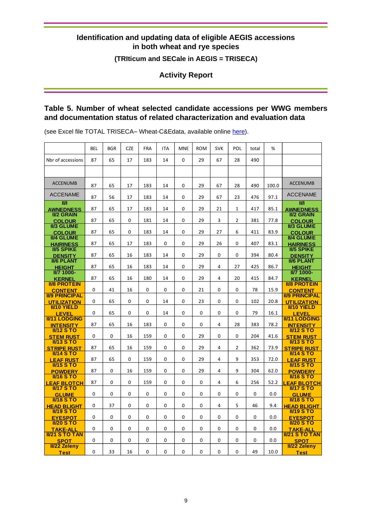**(TRIticum and SECale in AEGIS = TRISECA)**

**Activity Report**

# <span id="page-10-0"></span>**Table 5. Number of wheat selected candidate accessions per WWG members and documentation status of related characterization and evaluation data**

(see Excel file TOTAL TRISECA- Wheat-C&Edata, available online [here\)](http://www.ecpgr.cgiar.org/working-groups/wheat/triseca/).

|                                      | <b>BEL</b> | <b>BGR</b> | <b>CZE</b> | <b>FRA</b>  | <b>ITA</b>  | <b>MNE</b>   | <b>ROM</b> | <b>SVK</b> | POL            | total       | %     |                                       |
|--------------------------------------|------------|------------|------------|-------------|-------------|--------------|------------|------------|----------------|-------------|-------|---------------------------------------|
| Nbr of accessions                    | 87         | 65         | 17         | 183         | 14          | $\Omega$     | 29         | 67         | 28             | 490         |       |                                       |
|                                      |            |            |            |             |             |              |            |            |                |             |       |                                       |
| <b>ACCENUMB</b>                      | 87         | 65         | 17         | 183         | 14          | $\Omega$     | 29         | 67         | 28             | 490         | 100.0 | <b>ACCENUMB</b>                       |
|                                      |            |            |            |             |             |              |            |            |                |             |       |                                       |
| <b>ACCENAME</b>                      | 87         | 56         | 17         | 183         | 14          | $\mathbf{0}$ | 29         | 67         | 23             | 476         | 97.1  | <b>ACCENAME</b>                       |
| ШЛ<br><b>AWNEDNESS</b>               | 87         | 65         | 17         | 183         | 14          | $\Omega$     | 29         | 21         | $\mathbf{1}$   | 417         | 85.1  | ШЛ<br><b>AWNEDNESS</b>                |
| <b>II/2 GRAIN</b>                    |            |            |            |             |             |              |            |            |                |             |       | <b>II/2 GRAIN</b>                     |
| <b>COLOUR</b>                        | 87         | 65         | 0          | 181         | 14          | $\Omega$     | 29         | 3          | $\overline{2}$ | 381         | 77.8  | <b>COLOUR</b>                         |
| <b>II/3 GLUME</b><br><b>COLOUR</b>   | 87         | 65         | 0          | 183         | 14          | $\mathbf{0}$ | 29         | 27         | 6              | 411         | 83.9  | <b>II/3 GLUME</b><br><b>COLOUR</b>    |
| <b>II/4 GLUME</b>                    |            |            |            |             |             |              |            |            |                |             |       | <b>II/4 GLUME</b>                     |
| <b>HAIRINESS</b>                     | 87         | 65         | 17         | 183         | $\mathbf 0$ | $\mathbf 0$  | 29         | 26         | $\mathbf 0$    | 407         | 83.1  | <b>HAIRINESS</b>                      |
| <b>II/5 SPIKE</b>                    | 87         | 65         | 16         | 183         | 14          | 0            | 29         | 0          | 0              | 394         | 80.4  | <b>II/5 SPIKE</b>                     |
| <b>DENSITY</b><br><b>II/6 PLANT</b>  |            |            |            |             |             |              |            |            |                |             |       | <b>DENSITY</b><br><b>II/6 PLANT</b>   |
| <b>HEIGHT</b>                        | 87         | 65         | 16         | 183         | 14          | $\mathbf 0$  | 29         | 4          | 27             | 425         | 86.7  | <b>HEIGHT</b>                         |
| <b>II/7 1000-</b>                    |            |            |            |             |             |              |            |            |                |             |       | <b>II/7 1000-</b>                     |
| <b>KERNEL</b><br><b>II/8 PROTEIN</b> | 87         | 65         | 16         | 180         | 14          | 0            | 29         | 4          | 20             | 415         | 84.7  | <b>KERNEL</b><br><b>II/8 PROTEIN</b>  |
| <b>CONTENT</b>                       | 0          | 41         | 16         | $\mathbf 0$ | $\mathbf 0$ | $\mathbf 0$  | 21         | 0          | $\mathbf 0$    | 78          | 15.9  | <b>CONTENT</b>                        |
| <b>II/9 PRINCIPAL</b>                |            |            |            |             |             |              |            |            |                |             |       | <b>II/9 PRINCIPAL</b>                 |
| <b>UTILIZATION</b>                   | 0          | 65         | 0          | $\mathbf 0$ | 14          | 0            | 23         | 0          | $\mathbf 0$    | 102         | 20.8  | <b>UTILIZATION</b>                    |
| <b>II/10 YIELD</b><br><b>LEVEL</b>   | 0          | 65         | 0          | 0           | 14          | 0            | 0          | 0          | 0              | 79          | 16.1  | <b>II/10 YIELD</b><br><b>LEVEL</b>    |
| <b>II/11 LODGING</b>                 |            |            |            |             |             |              |            |            |                |             |       | <b>II/11 LODGING</b>                  |
| <b>INTENSITY</b>                     | 87         | 65         | 16         | 183         | 0           | 0            | 0          | 4          | 28             | 383         | 78.2  | <b>INTENSITY</b>                      |
| $II/12$ STO                          | 0          | 0          | 16         | 159         | 0           | 0            | 29         | 0          | 0              | 204         | 41.6  | <b>II/12 S TO</b>                     |
| <b>STEM RUST</b><br>$III13$ S TO     |            |            |            |             |             |              |            |            |                |             |       | <b>STEM RUST</b><br><b>II/13 S TO</b> |
| <b>STRIPE RUST</b>                   | 87         | 65         | 16         | 159         | 0           | 0            | 29         | 4          | $\overline{2}$ | 362         | 73.9  | <b>STRIPE RUST</b>                    |
| <b>II/14 S TO</b>                    |            |            |            |             |             |              |            |            |                |             |       | <u>II/14 S TO</u>                     |
| <b>LEAF RUST</b><br>$IV15$ STO       | 87         | 65         | 0          | 159         | 0           | 0            | 29         | 4          | 9              | 353         | 72.0  | <b>LEAF RUST</b><br><b>II/15 S TO</b> |
| <b>POWDERY</b>                       | 87         | 0          | 16         | 159         | $\mathbf 0$ | $\mathbf 0$  | 29         | 4          | 9              | 304         | 62.0  | <b>POWDERY</b>                        |
| $I116$ S TO                          |            |            |            |             |             |              |            |            |                |             |       | $II/16$ S TO                          |
| <b>LEAF BLOTCH</b>                   | 87         | 0          | 0          | 159         | 0           | 0            | 0          | 4          | 6              | 256         | 52.2  | <b>EAF BLOTCH</b>                     |
| $IW17$ S TO<br><b>GLUME</b>          | 0          | 0          | 0          | $\mathbf 0$ | $\mathbf 0$ | $\mathbf 0$  | 0          | 0          | $\mathbf 0$    | $\mathbf 0$ | 0.0   | $IW17$ S TO<br><b>GLUME</b>           |
| <b>II/18 S TO</b>                    |            |            |            |             |             |              |            |            |                |             |       | <b>II/18 S TO</b>                     |
| <b>HEAD BLIGHT</b>                   | 0          | 37         | 0          | 0           | 0           | 0            | 0          | 4          | 5              | 46          | 9.4   | <b>HEAD BLIGHT</b>                    |
| $I119$ S TO                          |            |            |            |             |             |              |            |            |                |             |       | $I119$ S TO                           |
| <b>EYESPOT</b><br>$II/20$ S TO       | 0          | 0          | 0          | $\mathbf 0$ | $\mathbf 0$ | $\mathbf 0$  | 0          | 0          | $\mathbf 0$    | $\mathbf 0$ | 0.0   | <b>EYESPOT</b><br><b>II/20 S TO</b>   |
| <b>TAKE-ALL</b>                      | 0          | 0          | 0          | 0           | 0           | 0            | 0          | 0          | 0              | 0           | 0.0   | <b>TAKE-ALL</b>                       |
| <b>II/21 S TO TAN</b>                |            |            |            |             |             |              |            |            |                |             |       | <b>II/21 S TO TAN</b>                 |
| <b>SPOT</b><br>II/22 Zeleny          | 0          | 0          | 0          | $\mathbf 0$ | 0           | 0            | 0          | 0          | $\mathbf 0$    | $\mathbf 0$ | 0.0   | <b>SPOT</b>                           |
| <b>Test</b>                          | 0          | 33         | 16         | 0           | $\Omega$    | 0            | 0          | $\Omega$   | $\Omega$       | 49          | 10.0  | <b>II/22 Zeleny</b><br><b>Test</b>    |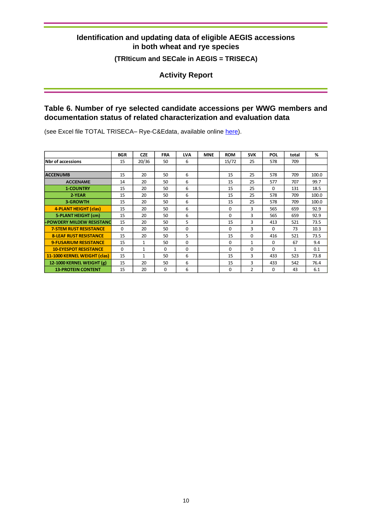### **(TRIticum and SECale in AEGIS = TRISECA)**

**Activity Report**

# <span id="page-11-0"></span>**Table 6. Number of rye selected candidate accessions per WWG members and documentation status of related characterization and evaluation data**

(see Excel file TOTAL TRISECA- Rye-C&Edata, available online [here\)](http://www.ecpgr.cgiar.org/working-groups/wheat/triseca/).

|                                  | <b>BGR</b> | <b>CZE</b>   | <b>FRA</b> | <b>LVA</b> | <b>MNE</b> | <b>ROM</b> | <b>SVK</b>     | POL      | total | %     |
|----------------------------------|------------|--------------|------------|------------|------------|------------|----------------|----------|-------|-------|
| <b>Nbr of accessions</b>         | 15         | 20/36        | 50         | 6          |            | 15/72      | 25             | 578      | 709   |       |
|                                  |            |              |            |            |            |            |                |          |       |       |
| <b>ACCENUMB</b>                  | 15         | 20           | 50         | 6          |            | 15         | 25             | 578      | 709   | 100.0 |
| <b>ACCENAME</b>                  | 14         | 20           | 50         | 6          |            | 15         | 25             | 577      | 707   | 99.7  |
| <b>1-COUNTRY</b>                 | 15         | 20           | 50         | 6          |            | 15         | 25             | $\Omega$ | 131   | 18.5  |
| 2-YEAR                           | 15         | 20           | 50         | 6          |            | 15         | 25             | 578      | 709   | 100.0 |
| <b>3-GROWTH</b>                  | 15         | 20           | 50         | 6          |            | 15         | 25             | 578      | 709   | 100.0 |
| 4-PLANT HEIGHT (clas)            | 15         | 20           | 50         | 6          |            | $\Omega$   | $\mathbf{a}$   | 565      | 659   | 92.9  |
| 5-PLANT HEIGHT (cm)              | 15         | 20           | 50         | 6          |            | $\Omega$   | 3              | 565      | 659   | 92.9  |
| <b>-POWDERY MILDEW RESISTANC</b> | 15         | 20           | 50         | 5          |            | 15         | 3              | 413      | 521   | 73.5  |
| <b>7-STEM RUST RESISTANCE</b>    | $\Omega$   | 20           | 50         | $\Omega$   |            | $\Omega$   | 3              | $\Omega$ | 73    | 10.3  |
| <b>8-LEAF RUST RESISTANCE</b>    | 15         | 20           | 50         | 5          |            | 15         | $\Omega$       | 416      | 521   | 73.5  |
| <b>9-FUSARIUM RESISTANCE</b>     | 15         | $\mathbf{1}$ | 50         | $\Omega$   |            | $\Omega$   | 1              | $\Omega$ | 67    | 9.4   |
| <b>10-EYESPOT RESISTANCE</b>     | $\Omega$   | $\mathbf{1}$ | $\Omega$   | $\Omega$   |            | $\Omega$   | $\Omega$       | $\Omega$ | 1     | 0.1   |
| 11-1000 KERNEL WEIGHT (clas)     | 15         | $\mathbf{1}$ | 50         | 6          |            | 15         | 3              | 433      | 523   | 73.8  |
| 12-1000 KERNEL WEIGHT (g)        | 15         | 20           | 50         | 6          |            | 15         | 3              | 433      | 542   | 76.4  |
| <b>13-PROTEIN CONTENT</b>        | 15         | 20           | 0          | 6          |            | $\Omega$   | $\overline{2}$ | $\Omega$ | 43    | 6.1   |